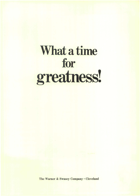## What a time for greatness!

The Warner & Swasey Company • Cleveland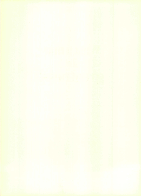